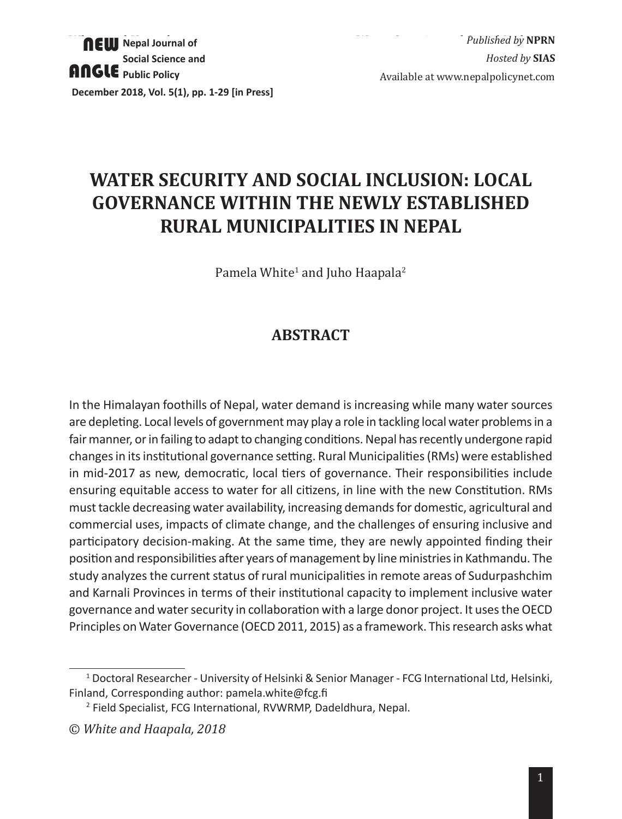# **WATER SECURITY AND SOCIAL INCLUSION: LOCAL GOVERNANCE WITHIN THE NEWLY ESTABLISHED RURAL MUNICIPALITIES IN NEPAL**

Pamela White<sup>1</sup> and Juho Haapala<sup>2</sup>

# **ABSTRACT**

In the Himalayan foothills of Nepal, water demand is increasing while many water sources are depleting. Local levels of government may play a role in tackling local water problems in a fair manner, or in failing to adapt to changing conditions. Nepal has recently undergone rapid changes in its institutional governance setting. Rural Municipalities (RMs) were established in mid-2017 as new, democratic, local tiers of governance. Their responsibilities include ensuring equitable access to water for all citizens, in line with the new Constitution. RMs must tackle decreasing water availability, increasing demands for domestic, agricultural and commercial uses, impacts of climate change, and the challenges of ensuring inclusive and participatory decision-making. At the same time, they are newly appointed finding their position and responsibilities after years of management by line ministries in Kathmandu. The study analyzes the current status of rural municipalities in remote areas of Sudurpashchim and Karnali Provinces in terms of their institutional capacity to implement inclusive water governance and water security in collaboration with a large donor project. It uses the OECD Principles on Water Governance (OECD 2011, 2015) as a framework. This research asks what

<sup>1</sup> Doctoral Researcher - University of Helsinki & Senior Manager - FCG International Ltd, Helsinki, Finland, Corresponding author: pamela.white@fcg.fi

<sup>2</sup> Field Specialist, FCG International, RVWRMP, Dadeldhura, Nepal.

<sup>©</sup> *White and Haapala, 2018*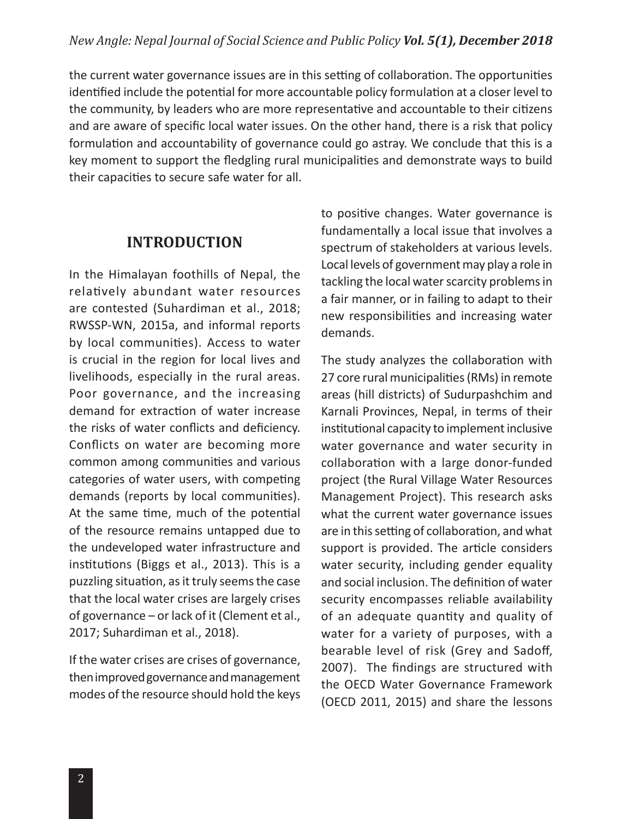the current water governance issues are in this setting of collaboration. The opportunities identified include the potential for more accountable policy formulation at a closer level to the community, by leaders who are more representative and accountable to their citizens and are aware of specific local water issues. On the other hand, there is a risk that policy formulation and accountability of governance could go astray. We conclude that this is a key moment to support the fledgling rural municipalities and demonstrate ways to build their capacities to secure safe water for all.

# **INTRODUCTION**

In the Himalayan foothills of Nepal, the relatively abundant water resources are contested (Suhardiman et al., 2018; RWSSP-WN, 2015a, and informal reports by local communities). Access to water is crucial in the region for local lives and livelihoods, especially in the rural areas. Poor governance, and the increasing demand for extraction of water increase the risks of water conflicts and deficiency. Conflicts on water are becoming more common among communities and various categories of water users, with competing demands (reports by local communities). At the same time, much of the potential of the resource remains untapped due to the undeveloped water infrastructure and institutions (Biggs et al., 2013). This is a puzzling situation, as it truly seems the case that the local water crises are largely crises of governance – or lack of it (Clement et al., 2017; Suhardiman et al., 2018).

If the water crises are crises of governance, then improved governance and management modes of the resource should hold the keys to positive changes. Water governance is fundamentally a local issue that involves a spectrum of stakeholders at various levels. Local levels of government may play a role in tackling the local water scarcity problems in a fair manner, or in failing to adapt to their new responsibilities and increasing water demands.

The study analyzes the collaboration with 27 core rural municipalities (RMs) in remote areas (hill districts) of Sudurpashchim and Karnali Provinces, Nepal, in terms of their institutional capacity to implement inclusive water governance and water security in collaboration with a large donor-funded project (the Rural Village Water Resources Management Project). This research asks what the current water governance issues are in this setting of collaboration, and what support is provided. The article considers water security, including gender equality and social inclusion. The definition of water security encompasses reliable availability of an adequate quantity and quality of water for a variety of purposes, with a bearable level of risk (Grey and Sadoff, 2007). The findings are structured with the OECD Water Governance Framework (OECD 2011, 2015) and share the lessons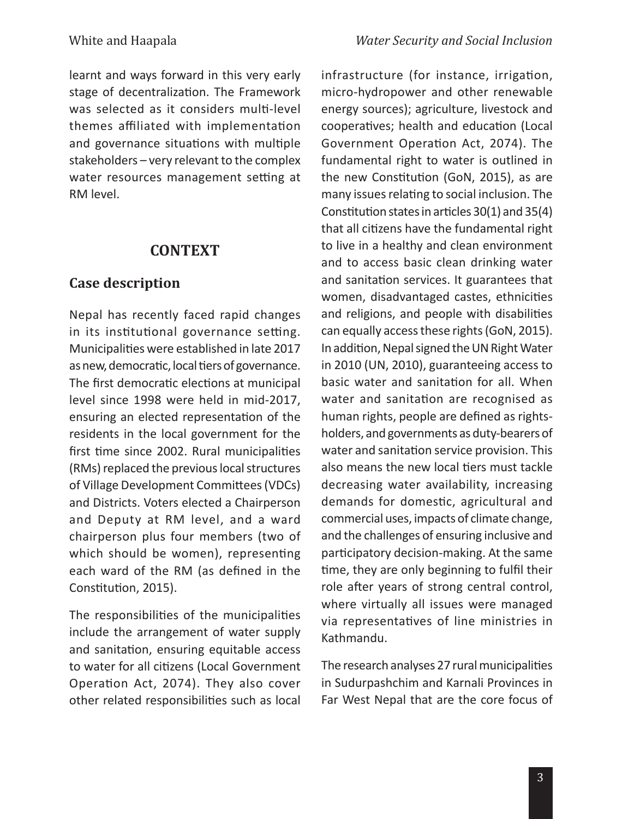learnt and ways forward in this very early stage of decentralization. The Framework was selected as it considers multi-level themes affiliated with implementation and governance situations with multiple stakeholders – very relevant to the complex water resources management setting at RM level.

#### **CONTEXT**

#### **Case description**

Nepal has recently faced rapid changes in its institutional governance setting. Municipalities were established in late 2017 as new, democratic, local tiers of governance. The first democratic elections at municipal level since 1998 were held in mid-2017, ensuring an elected representation of the residents in the local government for the first time since 2002. Rural municipalities (RMs) replaced the previous local structures of Village Development Committees (VDCs) and Districts. Voters elected a Chairperson and Deputy at RM level, and a ward chairperson plus four members (two of which should be women), representing each ward of the RM (as defined in the Constitution, 2015).

The responsibilities of the municipalities include the arrangement of water supply and sanitation, ensuring equitable access to water for all citizens (Local Government Operation Act, 2074). They also cover other related responsibilities such as local

infrastructure (for instance, irrigation, micro-hydropower and other renewable energy sources); agriculture, livestock and cooperatives; health and education (Local Government Operation Act, 2074). The fundamental right to water is outlined in the new Constitution (GoN, 2015), as are many issues relating to social inclusion. The Constitution states in articles 30(1) and 35(4) that all citizens have the fundamental right to live in a healthy and clean environment and to access basic clean drinking water and sanitation services. It guarantees that women, disadvantaged castes, ethnicities and religions, and people with disabilities can equally access these rights (GoN, 2015). In addition, Nepal signed the UN Right Water in 2010 (UN, 2010), guaranteeing access to basic water and sanitation for all. When water and sanitation are recognised as human rights, people are defined as rightsholders, and governments as duty-bearers of water and sanitation service provision. This also means the new local tiers must tackle decreasing water availability, increasing demands for domestic, agricultural and commercial uses, impacts of climate change, and the challenges of ensuring inclusive and participatory decision-making. At the same time, they are only beginning to fulfil their role after years of strong central control, where virtually all issues were managed via representatives of line ministries in Kathmandu.

The research analyses 27 rural municipalities in Sudurpashchim and Karnali Provinces in Far West Nepal that are the core focus of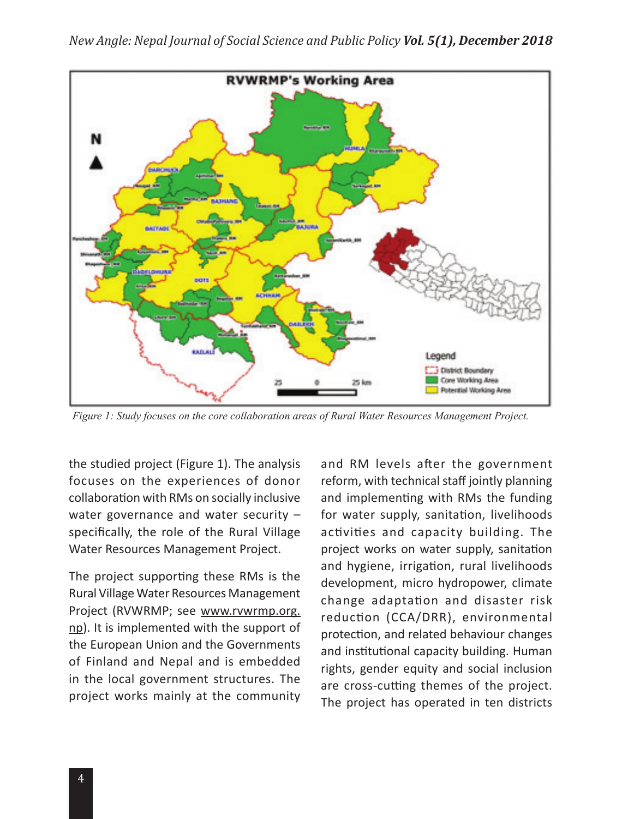

*Figure 1: Study focuses on the core collaboration areas of Rural Water Resources Management Project.*

the studied project (Figure 1). The analysis focuses on the experiences of donor collaboration with RMs on socially inclusive water governance and water security – specifically, the role of the Rural Village Water Resources Management Project.

The project supporting these RMs is the Rural Village Water Resources Management Project (RVWRMP; see www.rvwrmp.org. np). It is implemented with the support of the European Union and the Governments of Finland and Nepal and is embedded in the local government structures. The project works mainly at the community and RM levels after the government reform, with technical staff jointly planning and implementing with RMs the funding for water supply, sanitation, livelihoods activities and capacity building. The project works on water supply, sanitation and hygiene, irrigation, rural livelihoods development, micro hydropower, climate change adaptation and disaster risk reduction (CCA/DRR), environmental protection, and related behaviour changes and institutional capacity building. Human rights, gender equity and social inclusion are cross-cutting themes of the project. The project has operated in ten districts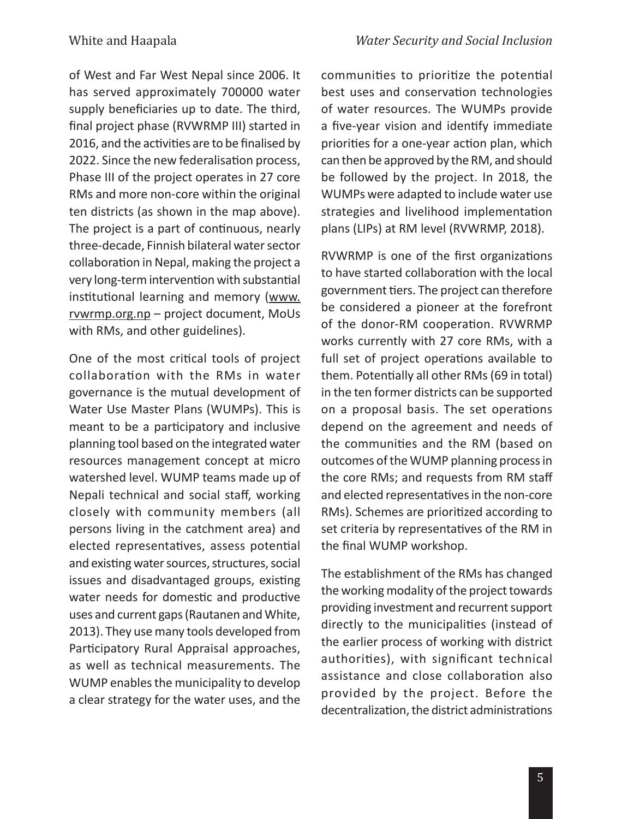of West and Far West Nepal since 2006. It has served approximately 700000 water supply beneficiaries up to date. The third, final project phase (RVWRMP III) started in 2016, and the activities are to be finalised by 2022. Since the new federalisation process, Phase III of the project operates in 27 core RMs and more non-core within the original ten districts (as shown in the map above). The project is a part of continuous, nearly three-decade, Finnish bilateral water sector collaboration in Nepal, making the project a very long-term intervention with substantial institutional learning and memory (www. rvwrmp.org.np – project document, MoUs with RMs, and other guidelines).

One of the most critical tools of project collaboration with the RMs in water governance is the mutual development of Water Use Master Plans (WUMPs). This is meant to be a participatory and inclusive planning tool based on the integrated water resources management concept at micro watershed level. WUMP teams made up of Nepali technical and social staff, working closely with community members (all persons living in the catchment area) and elected representatives, assess potential and existing water sources, structures, social issues and disadvantaged groups, existing water needs for domestic and productive uses and current gaps (Rautanen and White, 2013). They use many tools developed from Participatory Rural Appraisal approaches, as well as technical measurements. The WUMP enables the municipality to develop a clear strategy for the water uses, and the communities to prioritize the potential best uses and conservation technologies of water resources. The WUMPs provide a five-year vision and identify immediate priorities for a one-year action plan, which can then be approved by the RM, and should be followed by the project. In 2018, the WUMPs were adapted to include water use strategies and livelihood implementation plans (LIPs) at RM level (RVWRMP, 2018).

RVWRMP is one of the first organizations to have started collaboration with the local government tiers. The project can therefore be considered a pioneer at the forefront of the donor-RM cooperation. RVWRMP works currently with 27 core RMs, with a full set of project operations available to them. Potentially all other RMs (69 in total) in the ten former districts can be supported on a proposal basis. The set operations depend on the agreement and needs of the communities and the RM (based on outcomes of the WUMP planning process in the core RMs; and requests from RM staff and elected representatives in the non-core RMs). Schemes are prioritized according to set criteria by representatives of the RM in the final WUMP workshop.

The establishment of the RMs has changed the working modality of the project towards providing investment and recurrent support directly to the municipalities (instead of the earlier process of working with district authorities), with significant technical assistance and close collaboration also provided by the project. Before the decentralization, the district administrations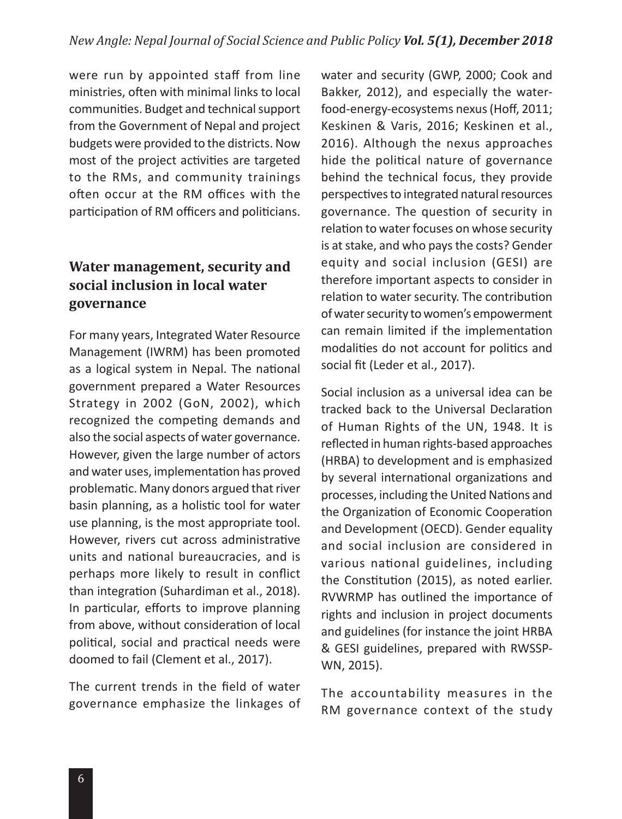were run by appointed staff from line ministries, often with minimal links to local communities. Budget and technical support from the Government of Nepal and project budgets were provided to the districts. Now most of the project activities are targeted to the RMs, and community trainings often occur at the RM offices with the participation of RM officers and politicians.

# **Water management, security and social inclusion in local water governance**

For many years, Integrated Water Resource Management (IWRM) has been promoted as a logical system in Nepal. The national government prepared a Water Resources Strategy in 2002 (GoN, 2002), which recognized the competing demands and also the social aspects of water governance. However, given the large number of actors and water uses, implementation has proved problematic. Many donors argued that river basin planning, as a holistic tool for water use planning, is the most appropriate tool. However, rivers cut across administrative units and national bureaucracies, and is perhaps more likely to result in conflict than integration (Suhardiman et al., 2018). In particular, efforts to improve planning from above, without consideration of local political, social and practical needs were doomed to fail (Clement et al., 2017).

The current trends in the field of water governance emphasize the linkages of water and security (GWP, 2000; Cook and Bakker, 2012), and especially the waterfood-energy-ecosystems nexus (Hoff, 2011; Keskinen & Varis, 2016; Keskinen et al., 2016). Although the nexus approaches hide the political nature of governance behind the technical focus, they provide perspectives to integrated natural resources governance. The question of security in relation to water focuses on whose security is at stake, and who pays the costs? Gender equity and social inclusion (GESI) are therefore important aspects to consider in relation to water security. The contribution of water security to women's empowerment can remain limited if the implementation modalities do not account for politics and social fit (Leder et al., 2017).

Social inclusion as a universal idea can be tracked back to the Universal Declaration of Human Rights of the UN, 1948. It is reflected in human rights-based approaches (HRBA) to development and is emphasized by several international organizations and processes, including the United Nations and the Organization of Economic Cooperation and Development (OECD). Gender equality and social inclusion are considered in various national guidelines, including the Constitution (2015), as noted earlier. RVWRMP has outlined the importance of rights and inclusion in project documents and guidelines (for instance the joint HRBA & GESI guidelines, prepared with RWSSP-WN, 2015).

The accountability measures in the RM governance context of the study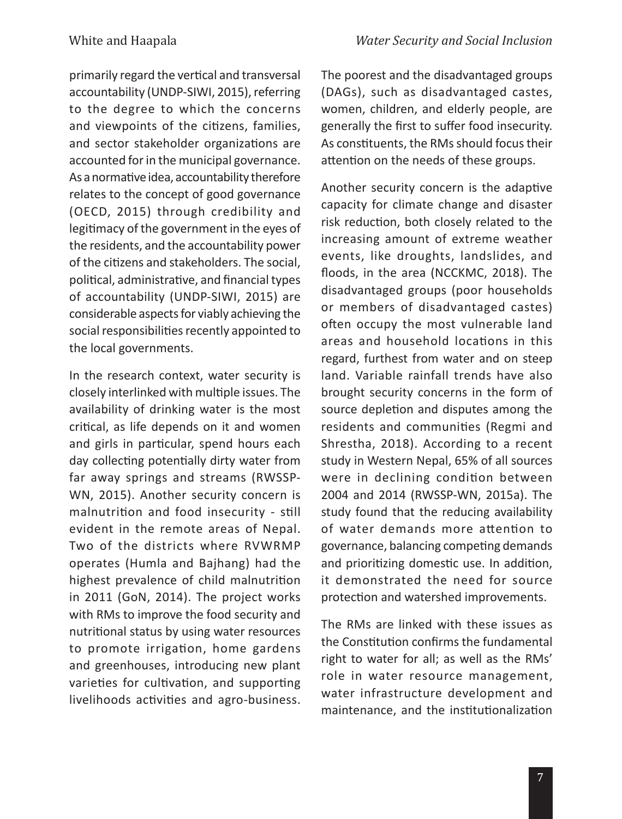primarily regard the vertical and transversal accountability (UNDP-SIWI, 2015), referring to the degree to which the concerns and viewpoints of the citizens, families, and sector stakeholder organizations are accounted for in the municipal governance. As a normative idea, accountability therefore relates to the concept of good governance (OECD, 2015) through credibility and legitimacy of the government in the eyes of the residents, and the accountability power of the citizens and stakeholders. The social, political, administrative, and financial types of accountability (UNDP-SIWI, 2015) are considerable aspects for viably achieving the social responsibilities recently appointed to the local governments.

In the research context, water security is closely interlinked with multiple issues. The availability of drinking water is the most critical, as life depends on it and women and girls in particular, spend hours each day collecting potentially dirty water from far away springs and streams (RWSSP-WN, 2015). Another security concern is malnutrition and food insecurity - still evident in the remote areas of Nepal. Two of the districts where RVWRMP operates (Humla and Bajhang) had the highest prevalence of child malnutrition in 2011 (GoN, 2014). The project works with RMs to improve the food security and nutritional status by using water resources to promote irrigation, home gardens and greenhouses, introducing new plant varieties for cultivation, and supporting livelihoods activities and agro-business. The poorest and the disadvantaged groups (DAGs), such as disadvantaged castes, women, children, and elderly people, are generally the first to suffer food insecurity. As constituents, the RMs should focus their attention on the needs of these groups.

Another security concern is the adaptive capacity for climate change and disaster risk reduction, both closely related to the increasing amount of extreme weather events, like droughts, landslides, and floods, in the area (NCCKMC, 2018). The disadvantaged groups (poor households or members of disadvantaged castes) often occupy the most vulnerable land areas and household locations in this regard, furthest from water and on steep land. Variable rainfall trends have also brought security concerns in the form of source depletion and disputes among the residents and communities (Regmi and Shrestha, 2018). According to a recent study in Western Nepal, 65% of all sources were in declining condition between 2004 and 2014 (RWSSP-WN, 2015a). The study found that the reducing availability of water demands more attention to governance, balancing competing demands and prioritizing domestic use. In addition, it demonstrated the need for source protection and watershed improvements.

The RMs are linked with these issues as the Constitution confirms the fundamental right to water for all; as well as the RMs' role in water resource management, water infrastructure development and maintenance, and the institutionalization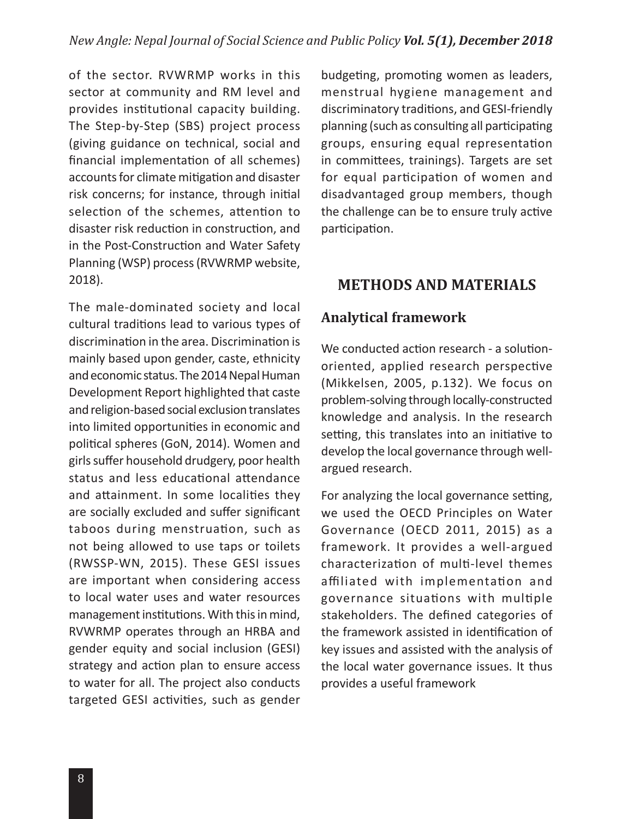of the sector. RVWRMP works in this sector at community and RM level and provides institutional capacity building. The Step-by-Step (SBS) project process (giving guidance on technical, social and financial implementation of all schemes) accounts for climate mitigation and disaster risk concerns; for instance, through initial selection of the schemes, attention to disaster risk reduction in construction, and in the Post-Construction and Water Safety Planning (WSP) process (RVWRMP website, 2018).

The male-dominated society and local cultural traditions lead to various types of discrimination in the area. Discrimination is mainly based upon gender, caste, ethnicity and economic status. The 2014 Nepal Human Development Report highlighted that caste and religion-based social exclusion translates into limited opportunities in economic and political spheres (GoN, 2014). Women and girls suffer household drudgery, poor health status and less educational attendance and attainment. In some localities they are socially excluded and suffer significant taboos during menstruation, such as not being allowed to use taps or toilets (RWSSP-WN, 2015). These GESI issues are important when considering access to local water uses and water resources management institutions. With this in mind, RVWRMP operates through an HRBA and gender equity and social inclusion (GESI) strategy and action plan to ensure access to water for all. The project also conducts targeted GESI activities, such as gender

budgeting, promoting women as leaders, menstrual hygiene management and discriminatory traditions, and GESI-friendly planning (such as consulting all participating groups, ensuring equal representation in committees, trainings). Targets are set for equal participation of women and disadvantaged group members, though the challenge can be to ensure truly active participation.

# **METHODS AND MATERIALS**

### **Analytical framework**

We conducted action research - a solutionoriented, applied research perspective (Mikkelsen, 2005, p.132). We focus on problem-solving through locally-constructed knowledge and analysis. In the research setting, this translates into an initiative to develop the local governance through wellargued research.

For analyzing the local governance setting, we used the OECD Principles on Water Governance (OECD 2011, 2015) as a framework. It provides a well-argued characterization of multi-level themes affiliated with implementation and governance situations with multiple stakeholders. The defined categories of the framework assisted in identification of key issues and assisted with the analysis of the local water governance issues. It thus provides a useful framework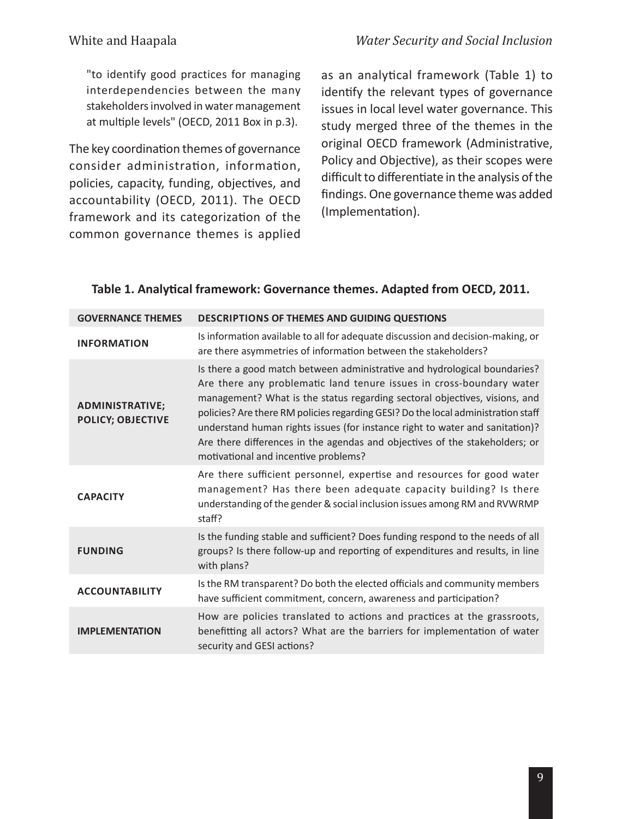"to identify good practices for managing interdependencies between the many stakeholders involved in water management at multiple levels" (OECD, 2011 Box in p.3).

The key coordination themes of governance consider administration, information, policies, capacity, funding, objectives, and accountability (OECD, 2011). The OECD framework and its categorization of the common governance themes is applied

as an analytical framework (Table 1) to identify the relevant types of governance issues in local level water governance. This study merged three of the themes in the original OECD framework (Administrative, Policy and Objective), as their scopes were difficult to differentiate in the analysis of the findings. One governance theme was added (Implementation).

#### **Table 1. Analytical framework: Governance themes. Adapted from OECD, 2011.**

| <b>DESCRIPTIONS OF THEMES AND GUIDING QUESTIONS</b>                                                                                                                                                                                                                                                                                                                                                                                                                                                                         |
|-----------------------------------------------------------------------------------------------------------------------------------------------------------------------------------------------------------------------------------------------------------------------------------------------------------------------------------------------------------------------------------------------------------------------------------------------------------------------------------------------------------------------------|
| Is information available to all for adequate discussion and decision-making, or<br>are there asymmetries of information between the stakeholders?                                                                                                                                                                                                                                                                                                                                                                           |
| Is there a good match between administrative and hydrological boundaries?<br>Are there any problematic land tenure issues in cross-boundary water<br>management? What is the status regarding sectoral objectives, visions, and<br>policies? Are there RM policies regarding GESI? Do the local administration staff<br>understand human rights issues (for instance right to water and sanitation)?<br>Are there differences in the agendas and objectives of the stakeholders; or<br>motivational and incentive problems? |
| Are there sufficient personnel, expertise and resources for good water<br>management? Has there been adequate capacity building? Is there<br>understanding of the gender & social inclusion issues among RM and RVWRMP<br>staff?                                                                                                                                                                                                                                                                                            |
| Is the funding stable and sufficient? Does funding respond to the needs of all<br>groups? Is there follow-up and reporting of expenditures and results, in line<br>with plans?                                                                                                                                                                                                                                                                                                                                              |
| Is the RM transparent? Do both the elected officials and community members<br>have sufficient commitment, concern, awareness and participation?                                                                                                                                                                                                                                                                                                                                                                             |
| How are policies translated to actions and practices at the grassroots,<br>benefitting all actors? What are the barriers for implementation of water<br>security and GESI actions?                                                                                                                                                                                                                                                                                                                                          |
|                                                                                                                                                                                                                                                                                                                                                                                                                                                                                                                             |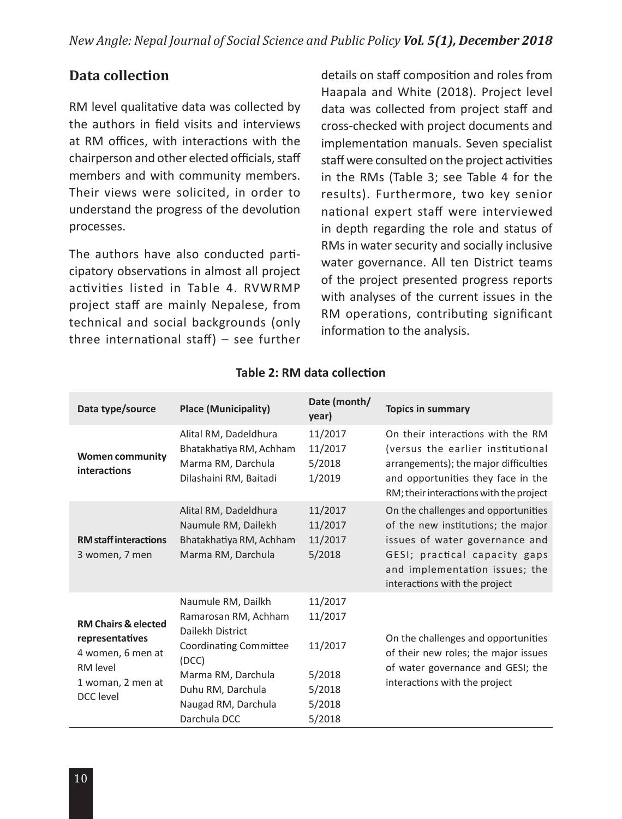### **Data collection**

RM level qualitative data was collected by the authors in field visits and interviews at RM offices, with interactions with the chairperson and other elected officials, staff members and with community members. Their views were solicited, in order to understand the progress of the devolution processes.

The authors have also conducted participatory observations in almost all project activities listed in Table 4. RVWRMP project staff are mainly Nepalese, from technical and social backgrounds (only three international staff) – see further

details on staff composition and roles from Haapala and White (2018). Project level data was collected from project staff and cross-checked with project documents and implementation manuals. Seven specialist staff were consulted on the project activities in the RMs (Table 3; see Table 4 for the results). Furthermore, two key senior national expert staff were interviewed in depth regarding the role and status of RMs in water security and socially inclusive water governance. All ten District teams of the project presented progress reports with analyses of the current issues in the RM operations, contributing significant information to the analysis.

| Data type/source                                                                                                     | <b>Place (Municipality)</b>                                                                                                                                                                | Date (month/<br>year)                                                 | <b>Topics in summary</b>                                                                                                                                                                                        |
|----------------------------------------------------------------------------------------------------------------------|--------------------------------------------------------------------------------------------------------------------------------------------------------------------------------------------|-----------------------------------------------------------------------|-----------------------------------------------------------------------------------------------------------------------------------------------------------------------------------------------------------------|
| <b>Women community</b><br>interactions                                                                               | Alital RM, Dadeldhura<br>Bhatakhatiya RM, Achham<br>Marma RM, Darchula<br>Dilashaini RM, Baitadi                                                                                           | 11/2017<br>11/2017<br>5/2018<br>1/2019                                | On their interactions with the RM<br>(versus the earlier institutional<br>arrangements); the major difficulties<br>and opportunities they face in the<br>RM; their interactions with the project                |
| <b>RM</b> staff interactions<br>3 women, 7 men                                                                       | Alital RM, Dadeldhura<br>Naumule RM, Dailekh<br>Bhatakhatiya RM, Achham<br>Marma RM, Darchula                                                                                              | 11/2017<br>11/2017<br>11/2017<br>5/2018                               | On the challenges and opportunities<br>of the new institutions; the major<br>issues of water governance and<br>GESI; practical capacity gaps<br>and implementation issues; the<br>interactions with the project |
| <b>RM Chairs &amp; elected</b><br>representatives<br>4 women, 6 men at<br>RM level<br>1 woman, 2 men at<br>DCC level | Naumule RM, Dailkh<br>Ramarosan RM, Achham<br>Dailekh District<br><b>Coordinating Committee</b><br>(DCC)<br>Marma RM, Darchula<br>Duhu RM, Darchula<br>Naugad RM, Darchula<br>Darchula DCC | 11/2017<br>11/2017<br>11/2017<br>5/2018<br>5/2018<br>5/2018<br>5/2018 | On the challenges and opportunities<br>of their new roles; the major issues<br>of water governance and GESI; the<br>interactions with the project                                                               |

#### **Table 2: RM data collection**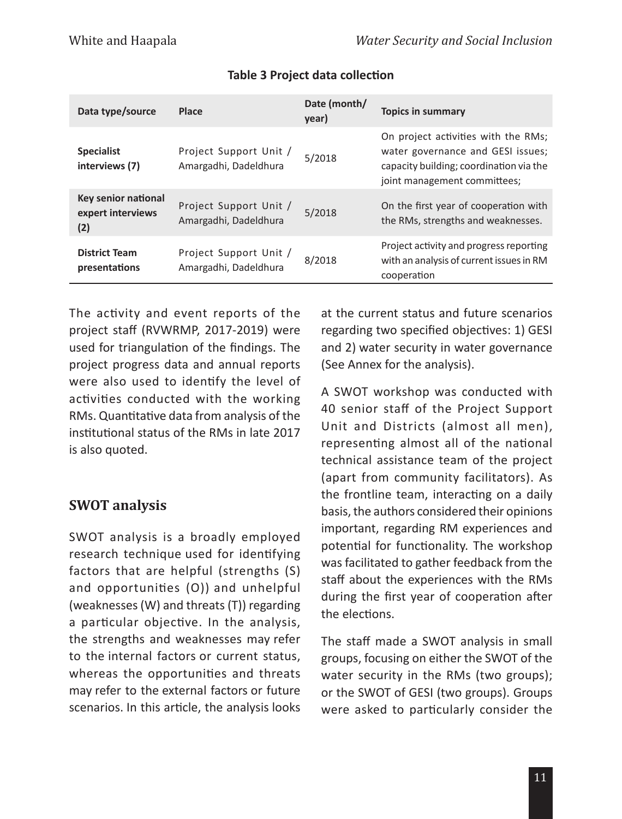| Data type/source                                | Place                                           | Date (month/<br>year) | <b>Topics in summary</b>                                                                                                                            |
|-------------------------------------------------|-------------------------------------------------|-----------------------|-----------------------------------------------------------------------------------------------------------------------------------------------------|
| <b>Specialist</b><br>interviews (7)             | Project Support Unit /<br>Amargadhi, Dadeldhura | 5/2018                | On project activities with the RMs;<br>water governance and GESI issues;<br>capacity building; coordination via the<br>joint management committees; |
| Key senior national<br>expert interviews<br>(2) | Project Support Unit /<br>Amargadhi, Dadeldhura | 5/2018                | On the first year of cooperation with<br>the RMs, strengths and weaknesses.                                                                         |
| <b>District Team</b><br>presentations           | Project Support Unit /<br>Amargadhi, Dadeldhura | 8/2018                | Project activity and progress reporting<br>with an analysis of current issues in RM<br>cooperation                                                  |

### **Table 3 Project data collection**

The activity and event reports of the project staff (RVWRMP, 2017-2019) were used for triangulation of the findings. The project progress data and annual reports were also used to identify the level of activities conducted with the working RMs. Quantitative data from analysis of the institutional status of the RMs in late 2017 is also quoted.

# **SWOT analysis**

SWOT analysis is a broadly employed research technique used for identifying factors that are helpful (strengths (S) and opportunities (O)) and unhelpful (weaknesses (W) and threats (T)) regarding a particular objective. In the analysis, the strengths and weaknesses may refer to the internal factors or current status, whereas the opportunities and threats may refer to the external factors or future scenarios. In this article, the analysis looks

at the current status and future scenarios regarding two specified objectives: 1) GESI and 2) water security in water governance (See Annex for the analysis).

A SWOT workshop was conducted with 40 senior staff of the Project Support Unit and Districts (almost all men), representing almost all of the national technical assistance team of the project (apart from community facilitators). As the frontline team, interacting on a daily basis, the authors considered their opinions important, regarding RM experiences and potential for functionality. The workshop was facilitated to gather feedback from the staff about the experiences with the RMs during the first year of cooperation after the elections.

The staff made a SWOT analysis in small groups, focusing on either the SWOT of the water security in the RMs (two groups); or the SWOT of GESI (two groups). Groups were asked to particularly consider the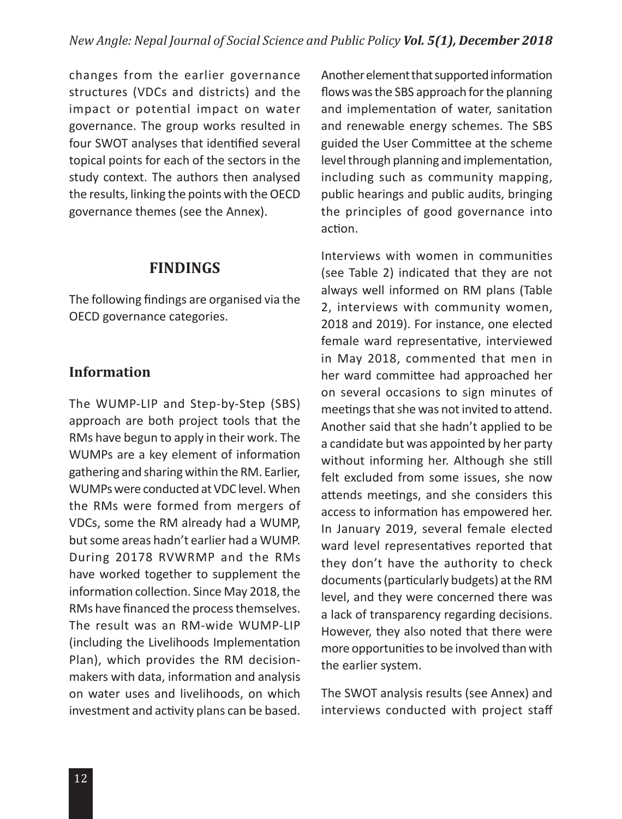changes from the earlier governance structures (VDCs and districts) and the impact or potential impact on water governance. The group works resulted in four SWOT analyses that identified several topical points for each of the sectors in the study context. The authors then analysed the results, linking the points with the OECD governance themes (see the Annex).

### **FINDINGS**

The following findings are organised via the OECD governance categories.

### **Information**

The WUMP-LIP and Step-by-Step (SBS) approach are both project tools that the RMs have begun to apply in their work. The WUMPs are a key element of information gathering and sharing within the RM. Earlier, WUMPs were conducted at VDC level. When the RMs were formed from mergers of VDCs, some the RM already had a WUMP, but some areas hadn't earlier had a WUMP. During 20178 RVWRMP and the RMs have worked together to supplement the information collection. Since May 2018, the RMs have financed the process themselves. The result was an RM-wide WUMP-LIP (including the Livelihoods Implementation Plan), which provides the RM decisionmakers with data, information and analysis on water uses and livelihoods, on which investment and activity plans can be based.

Another element that supported information flows was the SBS approach for the planning and implementation of water, sanitation and renewable energy schemes. The SBS guided the User Committee at the scheme level through planning and implementation, including such as community mapping, public hearings and public audits, bringing the principles of good governance into action.

Interviews with women in communities (see Table 2) indicated that they are not always well informed on RM plans (Table 2, interviews with community women, 2018 and 2019). For instance, one elected female ward representative, interviewed in May 2018, commented that men in her ward committee had approached her on several occasions to sign minutes of meetings that she was not invited to attend. Another said that she hadn't applied to be a candidate but was appointed by her party without informing her. Although she still felt excluded from some issues, she now attends meetings, and she considers this access to information has empowered her. In January 2019, several female elected ward level representatives reported that they don't have the authority to check documents (particularly budgets) at the RM level, and they were concerned there was a lack of transparency regarding decisions. However, they also noted that there were more opportunities to be involved than with the earlier system.

The SWOT analysis results (see Annex) and interviews conducted with project staff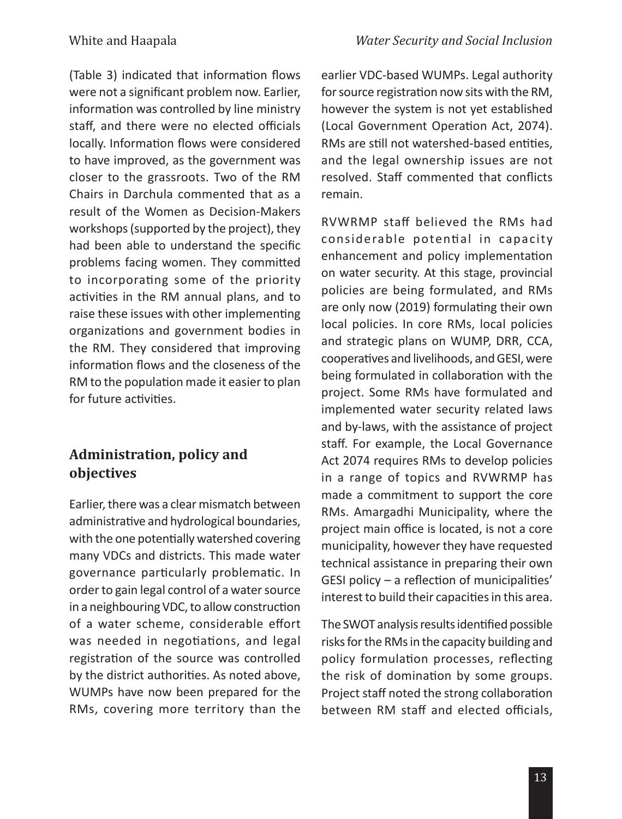(Table 3) indicated that information flows were not a significant problem now. Earlier, information was controlled by line ministry staff, and there were no elected officials locally. Information flows were considered to have improved, as the government was closer to the grassroots. Two of the RM Chairs in Darchula commented that as a result of the Women as Decision-Makers workshops (supported by the project), they had been able to understand the specific problems facing women. They committed to incorporating some of the priority activities in the RM annual plans, and to raise these issues with other implementing organizations and government bodies in the RM. They considered that improving information flows and the closeness of the RM to the population made it easier to plan for future activities.

# **Administration, policy and objectives**

Earlier, there was a clear mismatch between administrative and hydrological boundaries, with the one potentially watershed covering many VDCs and districts. This made water governance particularly problematic. In order to gain legal control of a water source in a neighbouring VDC, to allow construction of a water scheme, considerable effort was needed in negotiations, and legal registration of the source was controlled by the district authorities. As noted above, WUMPs have now been prepared for the RMs, covering more territory than the earlier VDC-based WUMPs. Legal authority for source registration now sits with the RM, however the system is not yet established (Local Government Operation Act, 2074). RMs are still not watershed-based entities, and the legal ownership issues are not resolved. Staff commented that conflicts remain.

RVWRMP staff believed the RMs had considerable potential in capacity enhancement and policy implementation on water security. At this stage, provincial policies are being formulated, and RMs are only now (2019) formulating their own local policies. In core RMs, local policies and strategic plans on WUMP, DRR, CCA, cooperatives and livelihoods, and GESI, were being formulated in collaboration with the project. Some RMs have formulated and implemented water security related laws and by-laws, with the assistance of project staff. For example, the Local Governance Act 2074 requires RMs to develop policies in a range of topics and RVWRMP has made a commitment to support the core RMs. Amargadhi Municipality, where the project main office is located, is not a core municipality, however they have requested technical assistance in preparing their own GESI policy – a reflection of municipalities' interest to build their capacities in this area.

The SWOT analysis results identified possible risks for the RMs in the capacity building and policy formulation processes, reflecting the risk of domination by some groups. Project staff noted the strong collaboration between RM staff and elected officials,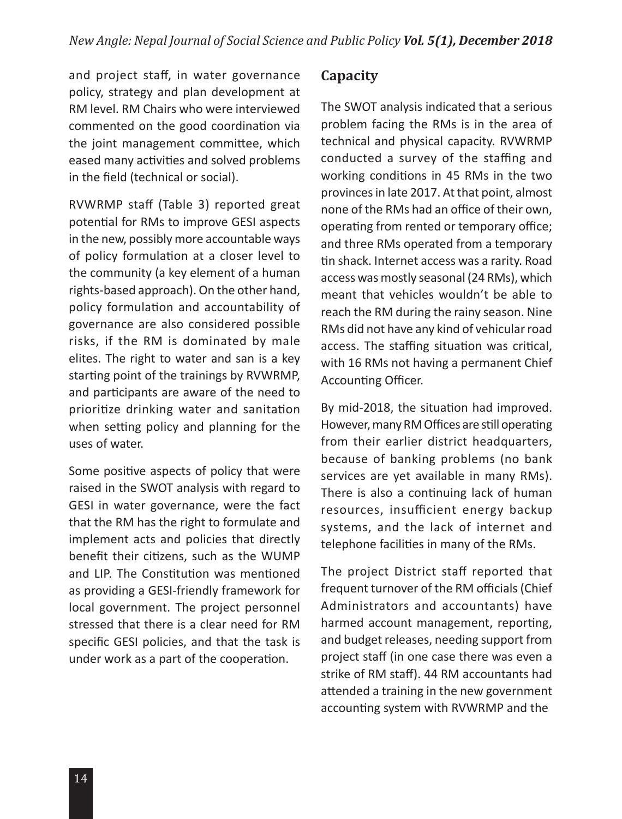and project staff, in water governance policy, strategy and plan development at RM level. RM Chairs who were interviewed commented on the good coordination via the joint management committee, which eased many activities and solved problems in the field (technical or social).

RVWRMP staff (Table 3) reported great potential for RMs to improve GESI aspects in the new, possibly more accountable ways of policy formulation at a closer level to the community (a key element of a human rights-based approach). On the other hand, policy formulation and accountability of governance are also considered possible risks, if the RM is dominated by male elites. The right to water and san is a key starting point of the trainings by RVWRMP, and participants are aware of the need to prioritize drinking water and sanitation when setting policy and planning for the uses of water.

Some positive aspects of policy that were raised in the SWOT analysis with regard to GESI in water governance, were the fact that the RM has the right to formulate and implement acts and policies that directly benefit their citizens, such as the WUMP and LIP. The Constitution was mentioned as providing a GESI-friendly framework for local government. The project personnel stressed that there is a clear need for RM specific GESI policies, and that the task is under work as a part of the cooperation.

#### **Capacity**

The SWOT analysis indicated that a serious problem facing the RMs is in the area of technical and physical capacity. RVWRMP conducted a survey of the staffing and working conditions in 45 RMs in the two provinces in late 2017. At that point, almost none of the RMs had an office of their own, operating from rented or temporary office; and three RMs operated from a temporary tin shack. Internet access was a rarity. Road access was mostly seasonal (24 RMs), which meant that vehicles wouldn't be able to reach the RM during the rainy season. Nine RMs did not have any kind of vehicular road access. The staffing situation was critical, with 16 RMs not having a permanent Chief Accounting Officer.

By mid-2018, the situation had improved. However, many RM Offices are still operating from their earlier district headquarters, because of banking problems (no bank services are yet available in many RMs). There is also a continuing lack of human resources, insufficient energy backup systems, and the lack of internet and telephone facilities in many of the RMs.

The project District staff reported that frequent turnover of the RM officials (Chief Administrators and accountants) have harmed account management, reporting, and budget releases, needing support from project staff (in one case there was even a strike of RM staff). 44 RM accountants had attended a training in the new government accounting system with RVWRMP and the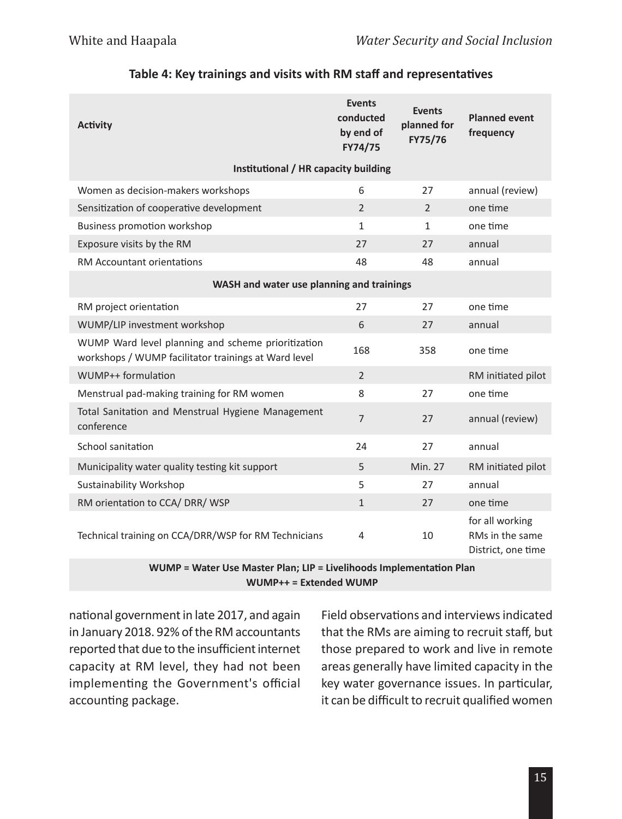| <b>Activity</b>                                                                                            | <b>Events</b><br>conducted<br>by end of<br>FY74/75 | <b>Events</b><br>planned for<br>FY75/76 | <b>Planned event</b><br>frequency                        |
|------------------------------------------------------------------------------------------------------------|----------------------------------------------------|-----------------------------------------|----------------------------------------------------------|
| Institutional / HR capacity building                                                                       |                                                    |                                         |                                                          |
| Women as decision-makers workshops                                                                         | 6                                                  | 27                                      | annual (review)                                          |
| Sensitization of cooperative development                                                                   | $\overline{2}$                                     | $\overline{2}$                          | one time                                                 |
| <b>Business promotion workshop</b>                                                                         | $\mathbf{1}$                                       | $\mathbf{1}$                            | one time                                                 |
| Exposure visits by the RM                                                                                  | 27                                                 | 27                                      | annual                                                   |
| <b>RM Accountant orientations</b>                                                                          | 48                                                 | 48                                      | annual                                                   |
| WASH and water use planning and trainings                                                                  |                                                    |                                         |                                                          |
| RM project orientation                                                                                     | 27                                                 | 27                                      | one time                                                 |
| WUMP/LIP investment workshop                                                                               | 6                                                  | 27                                      | annual                                                   |
| WUMP Ward level planning and scheme prioritization<br>workshops / WUMP facilitator trainings at Ward level | 168                                                | 358                                     | one time                                                 |
| WUMP++ formulation                                                                                         | $\overline{2}$                                     |                                         | RM initiated pilot                                       |
| Menstrual pad-making training for RM women                                                                 | 8                                                  | 27                                      | one time                                                 |
| Total Sanitation and Menstrual Hygiene Management<br>conference                                            | $\overline{7}$                                     | 27                                      | annual (review)                                          |
| School sanitation                                                                                          | 24                                                 | 27                                      | annual                                                   |
| Municipality water quality testing kit support                                                             | 5                                                  | <b>Min. 27</b>                          | RM initiated pilot                                       |
| Sustainability Workshop                                                                                    | 5                                                  | 27                                      | annual                                                   |
| RM orientation to CCA/ DRR/ WSP                                                                            | $\mathbf{1}$                                       | 27                                      | one time                                                 |
| Technical training on CCA/DRR/WSP for RM Technicians                                                       | 4                                                  | 10                                      | for all working<br>RMs in the same<br>District, one time |

#### **Table 4: Key trainings and visits with RM staff and representatives**

**WUMP = Water Use Master Plan; LIP = Livelihoods Implementation Plan WUMP++ = Extended WUMP**

national government in late 2017, and again in January 2018. 92% of the RM accountants reported that due to the insufficient internet capacity at RM level, they had not been implementing the Government's official accounting package.

Field observations and interviews indicated that the RMs are aiming to recruit staff, but those prepared to work and live in remote areas generally have limited capacity in the key water governance issues. In particular, it can be difficult to recruit qualified women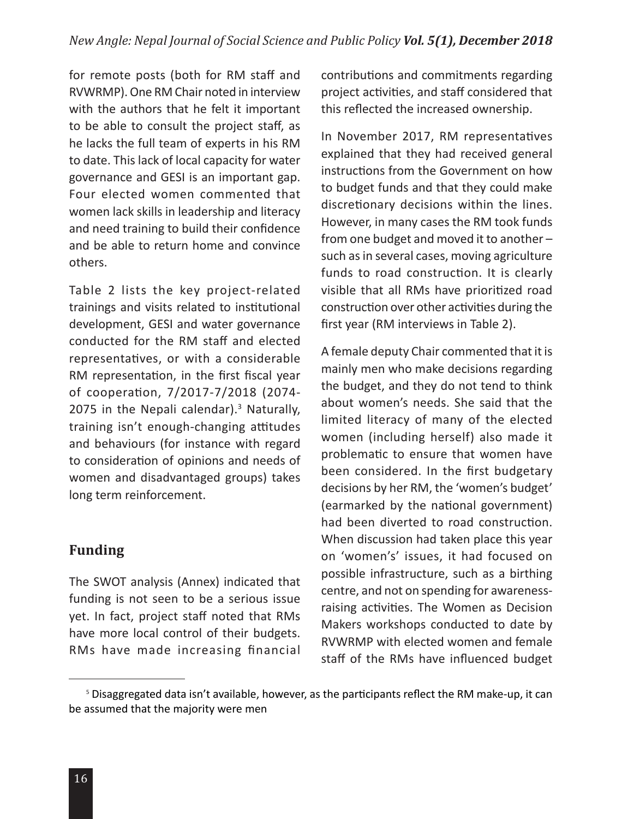for remote posts (both for RM staff and RVWRMP). One RM Chair noted in interview with the authors that he felt it important to be able to consult the project staff, as he lacks the full team of experts in his RM to date. This lack of local capacity for water governance and GESI is an important gap. Four elected women commented that women lack skills in leadership and literacy and need training to build their confidence and be able to return home and convince others.

Table 2 lists the key project-related trainings and visits related to institutional development, GESI and water governance conducted for the RM staff and elected representatives, or with a considerable RM representation, in the first fiscal year of cooperation, 7/2017-7/2018 (2074- 2075 in the Nepali calendar).<sup>3</sup> Naturally, training isn't enough-changing attitudes and behaviours (for instance with regard to consideration of opinions and needs of women and disadvantaged groups) takes long term reinforcement.

### **Funding**

The SWOT analysis (Annex) indicated that funding is not seen to be a serious issue yet. In fact, project staff noted that RMs have more local control of their budgets. RMs have made increasing financial

contributions and commitments regarding project activities, and staff considered that this reflected the increased ownership.

In November 2017, RM representatives explained that they had received general instructions from the Government on how to budget funds and that they could make discretionary decisions within the lines. However, in many cases the RM took funds from one budget and moved it to another – such as in several cases, moving agriculture funds to road construction. It is clearly visible that all RMs have prioritized road construction over other activities during the first year (RM interviews in Table 2).

A female deputy Chair commented that it is mainly men who make decisions regarding the budget, and they do not tend to think about women's needs. She said that the limited literacy of many of the elected women (including herself) also made it problematic to ensure that women have been considered. In the first budgetary decisions by her RM, the 'women's budget' (earmarked by the national government) had been diverted to road construction. When discussion had taken place this year on 'women's' issues, it had focused on possible infrastructure, such as a birthing centre, and not on spending for awarenessraising activities. The Women as Decision Makers workshops conducted to date by RVWRMP with elected women and female staff of the RMs have influenced budget

<sup>5</sup> Disaggregated data isn't available, however, as the participants reflect the RM make-up, it can be assumed that the majority were men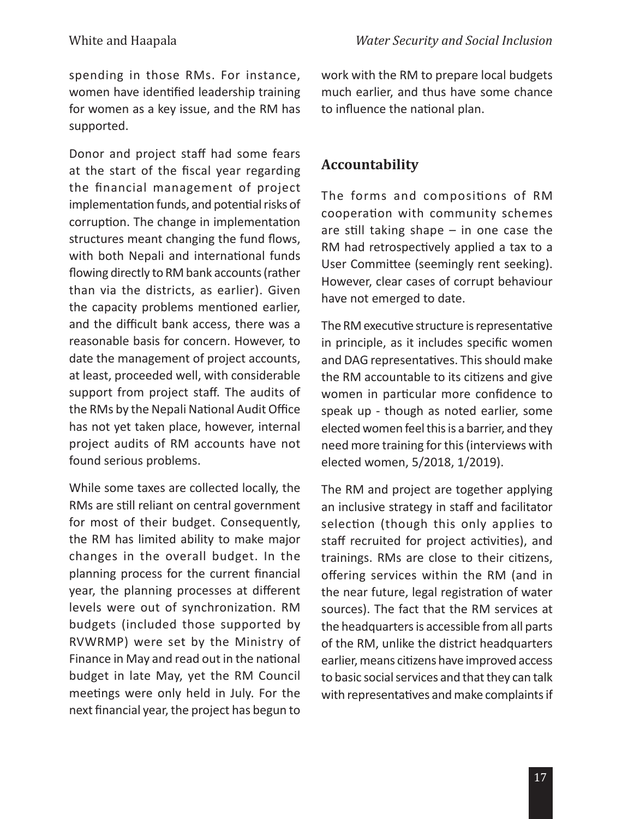spending in those RMs. For instance, women have identified leadership training for women as a key issue, and the RM has supported.

Donor and project staff had some fears at the start of the fiscal year regarding the financial management of project implementation funds, and potential risks of corruption. The change in implementation structures meant changing the fund flows, with both Nepali and international funds flowing directly to RM bank accounts (rather than via the districts, as earlier). Given the capacity problems mentioned earlier, and the difficult bank access, there was a reasonable basis for concern. However, to date the management of project accounts, at least, proceeded well, with considerable support from project staff. The audits of the RMs by the Nepali National Audit Office has not yet taken place, however, internal project audits of RM accounts have not found serious problems.

While some taxes are collected locally, the RMs are still reliant on central government for most of their budget. Consequently, the RM has limited ability to make major changes in the overall budget. In the planning process for the current financial year, the planning processes at different levels were out of synchronization. RM budgets (included those supported by RVWRMP) were set by the Ministry of Finance in May and read out in the national budget in late May, yet the RM Council meetings were only held in July. For the next financial year, the project has begun to

work with the RM to prepare local budgets much earlier, and thus have some chance to influence the national plan.

# **Accountability**

The forms and compositions of RM cooperation with community schemes are still taking shape – in one case the RM had retrospectively applied a tax to a User Committee (seemingly rent seeking). However, clear cases of corrupt behaviour have not emerged to date.

The RM executive structure is representative in principle, as it includes specific women and DAG representatives. This should make the RM accountable to its citizens and give women in particular more confidence to speak up - though as noted earlier, some elected women feel this is a barrier, and they need more training for this (interviews with elected women, 5/2018, 1/2019).

The RM and project are together applying an inclusive strategy in staff and facilitator selection (though this only applies to staff recruited for project activities), and trainings. RMs are close to their citizens, offering services within the RM (and in the near future, legal registration of water sources). The fact that the RM services at the headquarters is accessible from all parts of the RM, unlike the district headquarters earlier, means citizens have improved access to basic social services and that they can talk with representatives and make complaints if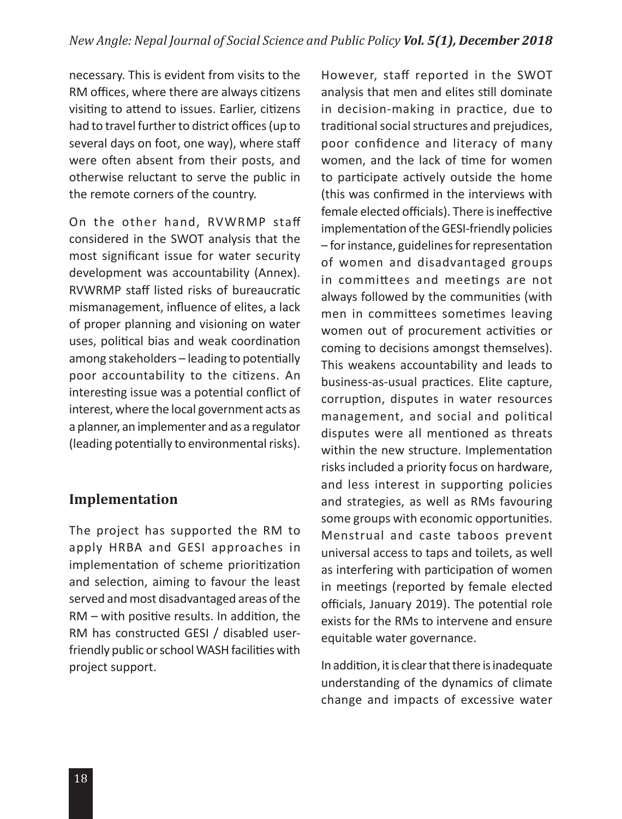necessary. This is evident from visits to the RM offices, where there are always citizens visiting to attend to issues. Earlier, citizens had to travel further to district offices (up to several days on foot, one way), where staff were often absent from their posts, and otherwise reluctant to serve the public in the remote corners of the country.

On the other hand, RVWRMP staff considered in the SWOT analysis that the most significant issue for water security development was accountability (Annex). RVWRMP staff listed risks of bureaucratic mismanagement, influence of elites, a lack of proper planning and visioning on water uses, political bias and weak coordination among stakeholders – leading to potentially poor accountability to the citizens. An interesting issue was a potential conflict of interest, where the local government acts as a planner, an implementer and as a regulator (leading potentially to environmental risks).

### **Implementation**

The project has supported the RM to apply HRBA and GESI approaches in implementation of scheme prioritization and selection, aiming to favour the least served and most disadvantaged areas of the RM – with positive results. In addition, the RM has constructed GESI / disabled userfriendly public or school WASH facilities with project support.

However, staff reported in the SWOT analysis that men and elites still dominate in decision-making in practice, due to traditional social structures and prejudices, poor confidence and literacy of many women, and the lack of time for women to participate actively outside the home (this was confirmed in the interviews with female elected officials). There is ineffective implementation of the GESI-friendly policies – for instance, guidelines for representation of women and disadvantaged groups in committees and meetings are not always followed by the communities (with men in committees sometimes leaving women out of procurement activities or coming to decisions amongst themselves). This weakens accountability and leads to business-as-usual practices. Elite capture, corruption, disputes in water resources management, and social and political disputes were all mentioned as threats within the new structure. Implementation risks included a priority focus on hardware, and less interest in supporting policies and strategies, as well as RMs favouring some groups with economic opportunities. Menstrual and caste taboos prevent universal access to taps and toilets, as well as interfering with participation of women in meetings (reported by female elected officials, January 2019). The potential role exists for the RMs to intervene and ensure equitable water governance.

In addition, it is clear that there is inadequate understanding of the dynamics of climate change and impacts of excessive water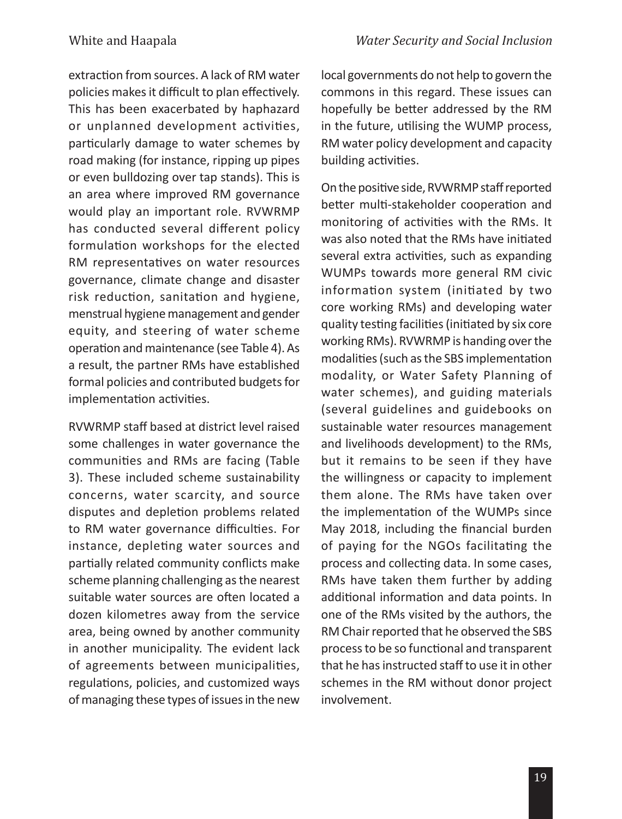extraction from sources. A lack of RM water policies makes it difficult to plan effectively. This has been exacerbated by haphazard or unplanned development activities, particularly damage to water schemes by road making (for instance, ripping up pipes or even bulldozing over tap stands). This is an area where improved RM governance would play an important role. RVWRMP has conducted several different policy formulation workshops for the elected RM representatives on water resources governance, climate change and disaster risk reduction, sanitation and hygiene, menstrual hygiene management and gender equity, and steering of water scheme operation and maintenance (see Table 4). As a result, the partner RMs have established formal policies and contributed budgets for implementation activities.

RVWRMP staff based at district level raised some challenges in water governance the communities and RMs are facing (Table 3). These included scheme sustainability concerns, water scarcity, and source disputes and depletion problems related to RM water governance difficulties. For instance, depleting water sources and partially related community conflicts make scheme planning challenging as the nearest suitable water sources are often located a dozen kilometres away from the service area, being owned by another community in another municipality. The evident lack of agreements between municipalities, regulations, policies, and customized ways of managing these types of issues in the new

local governments do not help to govern the commons in this regard. These issues can hopefully be better addressed by the RM in the future, utilising the WUMP process, RM water policy development and capacity building activities.

On the positive side, RVWRMP staff reported better multi-stakeholder cooperation and monitoring of activities with the RMs. It was also noted that the RMs have initiated several extra activities, such as expanding WUMPs towards more general RM civic information system (initiated by two core working RMs) and developing water quality testing facilities (initiated by six core working RMs). RVWRMP is handing over the modalities (such as the SBS implementation modality, or Water Safety Planning of water schemes), and guiding materials (several guidelines and guidebooks on sustainable water resources management and livelihoods development) to the RMs, but it remains to be seen if they have the willingness or capacity to implement them alone. The RMs have taken over the implementation of the WUMPs since May 2018, including the financial burden of paying for the NGOs facilitating the process and collecting data. In some cases, RMs have taken them further by adding additional information and data points. In one of the RMs visited by the authors, the RM Chair reported that he observed the SBS process to be so functional and transparent that he has instructed staff to use it in other schemes in the RM without donor project involvement.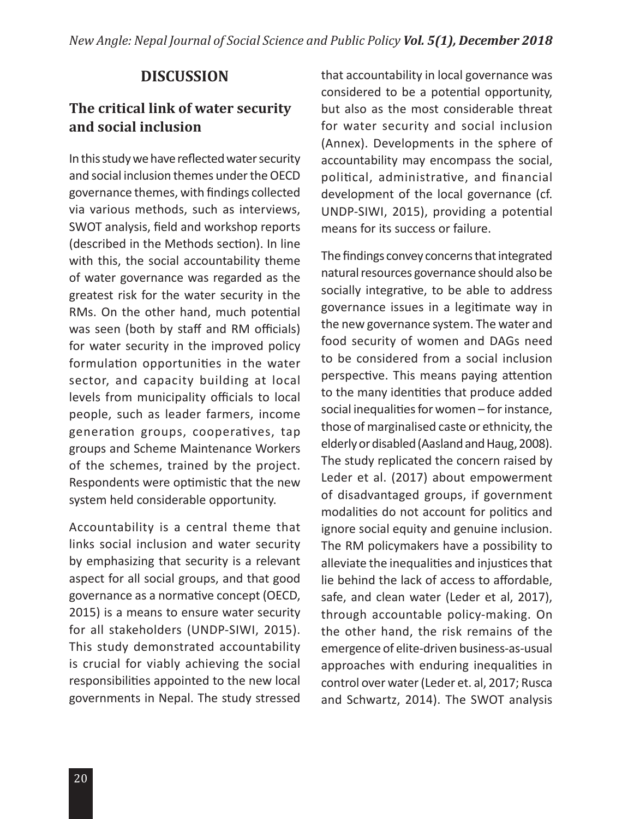# **DISCUSSION**

### **The critical link of water security and social inclusion**

In this study we have reflected water security and social inclusion themes under the OECD governance themes, with findings collected via various methods, such as interviews, SWOT analysis, field and workshop reports (described in the Methods section). In line with this, the social accountability theme of water governance was regarded as the greatest risk for the water security in the RMs. On the other hand, much potential was seen (both by staff and RM officials) for water security in the improved policy formulation opportunities in the water sector, and capacity building at local levels from municipality officials to local people, such as leader farmers, income generation groups, cooperatives, tap groups and Scheme Maintenance Workers of the schemes, trained by the project. Respondents were optimistic that the new system held considerable opportunity.

Accountability is a central theme that links social inclusion and water security by emphasizing that security is a relevant aspect for all social groups, and that good governance as a normative concept (OECD, 2015) is a means to ensure water security for all stakeholders (UNDP-SIWI, 2015). This study demonstrated accountability is crucial for viably achieving the social responsibilities appointed to the new local governments in Nepal. The study stressed

that accountability in local governance was considered to be a potential opportunity, but also as the most considerable threat for water security and social inclusion (Annex). Developments in the sphere of accountability may encompass the social, political, administrative, and financial development of the local governance (cf. UNDP-SIWI, 2015), providing a potential means for its success or failure.

The findings convey concerns that integrated natural resources governance should also be socially integrative, to be able to address governance issues in a legitimate way in the new governance system. The water and food security of women and DAGs need to be considered from a social inclusion perspective. This means paying attention to the many identities that produce added social inequalities for women – for instance, those of marginalised caste or ethnicity, the elderly or disabled (Aasland and Haug, 2008). The study replicated the concern raised by Leder et al. (2017) about empowerment of disadvantaged groups, if government modalities do not account for politics and ignore social equity and genuine inclusion. The RM policymakers have a possibility to alleviate the inequalities and injustices that lie behind the lack of access to affordable, safe, and clean water (Leder et al, 2017), through accountable policy-making. On the other hand, the risk remains of the emergence of elite-driven business-as-usual approaches with enduring inequalities in control over water (Leder et. al, 2017; Rusca and Schwartz, 2014). The SWOT analysis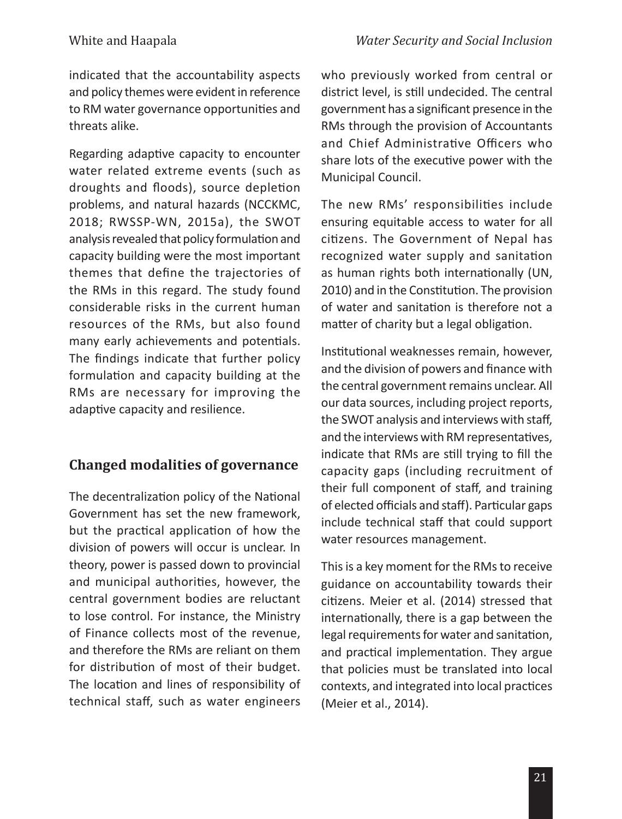indicated that the accountability aspects and policy themes were evident in reference to RM water governance opportunities and threats alike.

Regarding adaptive capacity to encounter water related extreme events (such as droughts and floods), source depletion problems, and natural hazards (NCCKMC, 2018; RWSSP-WN, 2015a), the SWOT analysis revealed that policy formulation and capacity building were the most important themes that define the trajectories of the RMs in this regard. The study found considerable risks in the current human resources of the RMs, but also found many early achievements and potentials. The findings indicate that further policy formulation and capacity building at the RMs are necessary for improving the adaptive capacity and resilience.

# **Changed modalities of governance**

The decentralization policy of the National Government has set the new framework, but the practical application of how the division of powers will occur is unclear. In theory, power is passed down to provincial and municipal authorities, however, the central government bodies are reluctant to lose control. For instance, the Ministry of Finance collects most of the revenue, and therefore the RMs are reliant on them for distribution of most of their budget. The location and lines of responsibility of technical staff, such as water engineers who previously worked from central or district level, is still undecided. The central government has a significant presence in the RMs through the provision of Accountants and Chief Administrative Officers who share lots of the executive power with the Municipal Council.

The new RMs' responsibilities include ensuring equitable access to water for all citizens. The Government of Nepal has recognized water supply and sanitation as human rights both internationally (UN, 2010) and in the Constitution. The provision of water and sanitation is therefore not a matter of charity but a legal obligation.

Institutional weaknesses remain, however, and the division of powers and finance with the central government remains unclear. All our data sources, including project reports, the SWOT analysis and interviews with staff, and the interviews with RM representatives, indicate that RMs are still trying to fill the capacity gaps (including recruitment of their full component of staff, and training of elected officials and staff). Particular gaps include technical staff that could support water resources management.

This is a key moment for the RMs to receive guidance on accountability towards their citizens. Meier et al. (2014) stressed that internationally, there is a gap between the legal requirements for water and sanitation, and practical implementation. They argue that policies must be translated into local contexts, and integrated into local practices (Meier et al., 2014).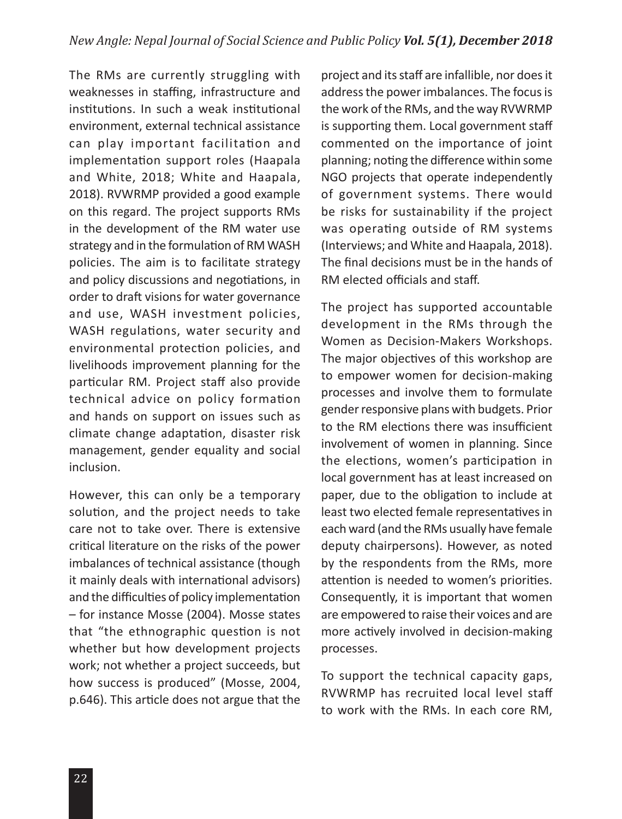The RMs are currently struggling with weaknesses in staffing, infrastructure and institutions. In such a weak institutional environment, external technical assistance can play important facilitation and implementation support roles (Haapala and White, 2018; White and Haapala, 2018). RVWRMP provided a good example on this regard. The project supports RMs in the development of the RM water use strategy and in the formulation of RM WASH policies. The aim is to facilitate strategy and policy discussions and negotiations, in order to draft visions for water governance and use, WASH investment policies, WASH regulations, water security and environmental protection policies, and livelihoods improvement planning for the particular RM. Project staff also provide technical advice on policy formation and hands on support on issues such as climate change adaptation, disaster risk management, gender equality and social inclusion.

However, this can only be a temporary solution, and the project needs to take care not to take over. There is extensive critical literature on the risks of the power imbalances of technical assistance (though it mainly deals with international advisors) and the difficulties of policy implementation – for instance Mosse (2004). Mosse states that "the ethnographic question is not whether but how development projects work; not whether a project succeeds, but how success is produced" (Mosse, 2004, p.646). This article does not argue that the project and its staff are infallible, nor does it address the power imbalances. The focus is the work of the RMs, and the way RVWRMP is supporting them. Local government staff commented on the importance of joint planning; noting the difference within some NGO projects that operate independently of government systems. There would be risks for sustainability if the project was operating outside of RM systems (Interviews; and White and Haapala, 2018). The final decisions must be in the hands of RM elected officials and staff.

The project has supported accountable development in the RMs through the Women as Decision-Makers Workshops. The major objectives of this workshop are to empower women for decision-making processes and involve them to formulate gender responsive plans with budgets. Prior to the RM elections there was insufficient involvement of women in planning. Since the elections, women's participation in local government has at least increased on paper, due to the obligation to include at least two elected female representatives in each ward (and the RMs usually have female deputy chairpersons). However, as noted by the respondents from the RMs, more attention is needed to women's priorities. Consequently, it is important that women are empowered to raise their voices and are more actively involved in decision-making processes.

To support the technical capacity gaps, RVWRMP has recruited local level staff to work with the RMs. In each core RM,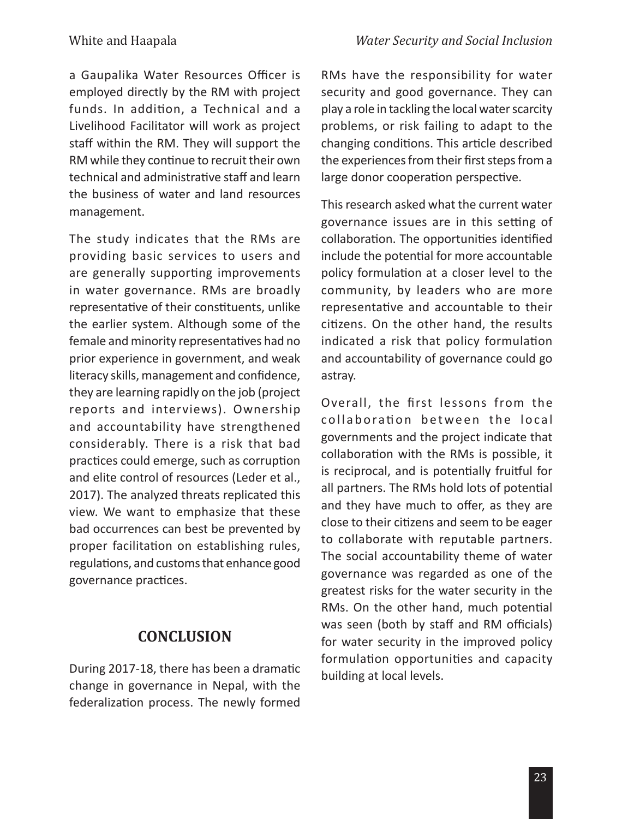a Gaupalika Water Resources Officer is employed directly by the RM with project funds. In addition, a Technical and a Livelihood Facilitator will work as project staff within the RM. They will support the RM while they continue to recruit their own technical and administrative staff and learn the business of water and land resources management.

The study indicates that the RMs are providing basic services to users and are generally supporting improvements in water governance. RMs are broadly representative of their constituents, unlike the earlier system. Although some of the female and minority representatives had no prior experience in government, and weak literacy skills, management and confidence, they are learning rapidly on the job (project reports and interviews). Ownership and accountability have strengthened considerably. There is a risk that bad practices could emerge, such as corruption and elite control of resources (Leder et al., 2017). The analyzed threats replicated this view. We want to emphasize that these bad occurrences can best be prevented by proper facilitation on establishing rules, regulations, and customs that enhance good governance practices.

### **CONCLUSION**

During 2017-18, there has been a dramatic change in governance in Nepal, with the federalization process. The newly formed

RMs have the responsibility for water security and good governance. They can play a role in tackling the local water scarcity problems, or risk failing to adapt to the changing conditions. This article described the experiences from their first steps from a large donor cooperation perspective.

This research asked what the current water governance issues are in this setting of collaboration. The opportunities identified include the potential for more accountable policy formulation at a closer level to the community, by leaders who are more representative and accountable to their citizens. On the other hand, the results indicated a risk that policy formulation and accountability of governance could go astray.

Overall, the first lessons from the collaboration between the local governments and the project indicate that collaboration with the RMs is possible, it is reciprocal, and is potentially fruitful for all partners. The RMs hold lots of potential and they have much to offer, as they are close to their citizens and seem to be eager to collaborate with reputable partners. The social accountability theme of water governance was regarded as one of the greatest risks for the water security in the RMs. On the other hand, much potential was seen (both by staff and RM officials) for water security in the improved policy formulation opportunities and capacity building at local levels.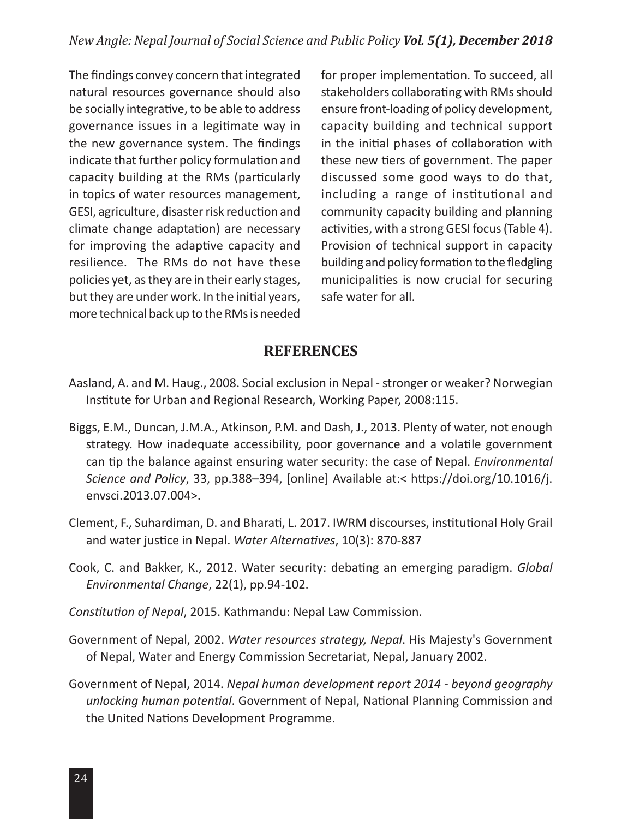The findings convey concern that integrated natural resources governance should also be socially integrative, to be able to address governance issues in a legitimate way in the new governance system. The findings indicate that further policy formulation and capacity building at the RMs (particularly in topics of water resources management, GESI, agriculture, disaster risk reduction and climate change adaptation) are necessary for improving the adaptive capacity and resilience. The RMs do not have these policies yet, as they are in their early stages, but they are under work. In the initial years, more technical back up to the RMs is needed for proper implementation. To succeed, all stakeholders collaborating with RMs should ensure front-loading of policy development, capacity building and technical support in the initial phases of collaboration with these new tiers of government. The paper discussed some good ways to do that, including a range of institutional and community capacity building and planning activities, with a strong GESI focus (Table 4). Provision of technical support in capacity building and policy formation to the fledgling municipalities is now crucial for securing safe water for all.

### **REFERENCES**

- Aasland, A. and M. Haug., 2008. Social exclusion in Nepal stronger or weaker? Norwegian Institute for Urban and Regional Research, Working Paper, 2008:115.
- Biggs, E.M., Duncan, J.M.A., Atkinson, P.M. and Dash, J., 2013. Plenty of water, not enough strategy. How inadequate accessibility, poor governance and a volatile government can tip the balance against ensuring water security: the case of Nepal. *Environmental Science and Policy*, 33, pp.388–394, [online] Available at:< https://doi.org/10.1016/j. envsci.2013.07.004>.
- Clement, F., Suhardiman, D. and Bharati, L. 2017. IWRM discourses, institutional Holy Grail and water justice in Nepal. *Water Alternatives*, 10(3): 870-887
- Cook, C. and Bakker, K., 2012. Water security: debating an emerging paradigm. *Global Environmental Change*, 22(1), pp.94-102.
- *Constitution of Nepal*, 2015. Kathmandu: Nepal Law Commission.
- Government of Nepal, 2002. *Water resources strategy, Nepal*. His Majesty's Government of Nepal, Water and Energy Commission Secretariat, Nepal, January 2002.
- Government of Nepal, 2014. *Nepal human development report 2014 beyond geography unlocking human potential*. Government of Nepal, National Planning Commission and the United Nations Development Programme.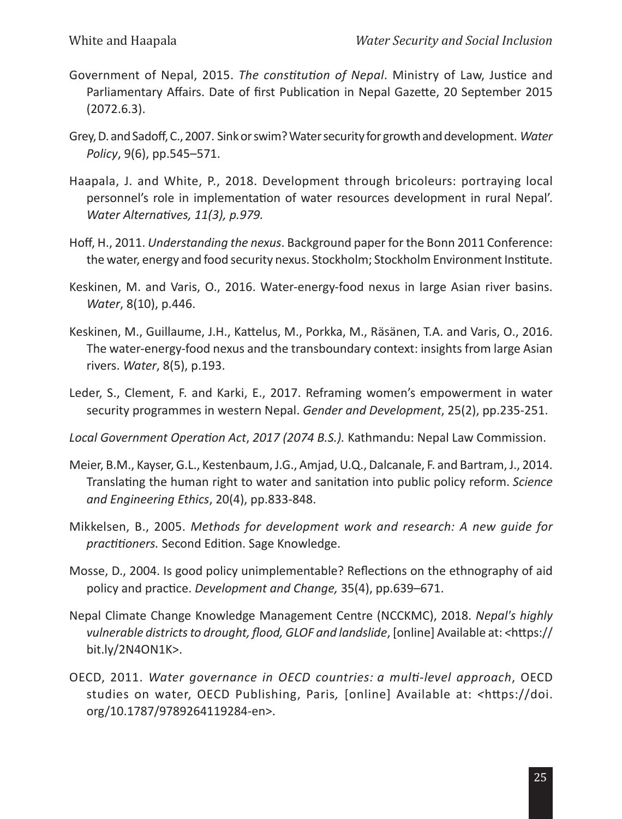- Government of Nepal, 2015. *The constitution of Nepal*. Ministry of Law, Justice and Parliamentary Affairs. Date of first Publication in Nepal Gazette, 20 September 2015 (2072.6.3).
- Grey, D. and Sadoff, C., 2007. Sink or swim? Water security for growth and development. *Water Policy*, 9(6), pp.545–571.
- Haapala, J. and White, P., 2018. Development through bricoleurs: portraying local personnel's role in implementation of water resources development in rural Nepal'. *Water Alternatives, 11(3), p.979.*
- Hoff, H., 2011. *Understanding the nexus*. Background paper for the Bonn 2011 Conference: the water, energy and food security nexus. Stockholm; Stockholm Environment Institute.
- Keskinen, M. and Varis, O., 2016. Water-energy-food nexus in large Asian river basins. *Water*, 8(10), p.446.
- Keskinen, M., Guillaume, J.H., Kattelus, M., Porkka, M., Räsänen, T.A. and Varis, O., 2016. The water-energy-food nexus and the transboundary context: insights from large Asian rivers. *Water*, 8(5), p.193.
- Leder, S., Clement, F. and Karki, E., 2017. Reframing women's empowerment in water security programmes in western Nepal. *Gender and Development*, 25(2), pp.235-251.
- *Local Government Operation Act*, *2017 (2074 B.S.).* Kathmandu: Nepal Law Commission.
- Meier, B.M., Kayser, G.L., Kestenbaum, J.G., Amjad, U.Q., Dalcanale, F. and Bartram, J., 2014. Translating the human right to water and sanitation into public policy reform. *Science and Engineering Ethics*, 20(4), pp.833-848.
- Mikkelsen, B., 2005. *Methods for development work and research: A new guide for practitioners.* Second Edition. Sage Knowledge.
- Mosse, D., 2004. Is good policy unimplementable? Reflections on the ethnography of aid policy and practice. *Development and Change,* 35(4), pp.639–671.
- Nepal Climate Change Knowledge Management Centre (NCCKMC), 2018. *Nepal's highly vulnerable districts to drought, flood, GLOF and landslide*, [online] Available at: *<*https:// bit.ly/2N4ON1K>.
- OECD, 2011. *Water governance in OECD countries: a multi-level approach*, OECD studies on water, OECD Publishing, Paris*,* [online] Available at: *<*https://doi. org/10.1787/9789264119284-en>.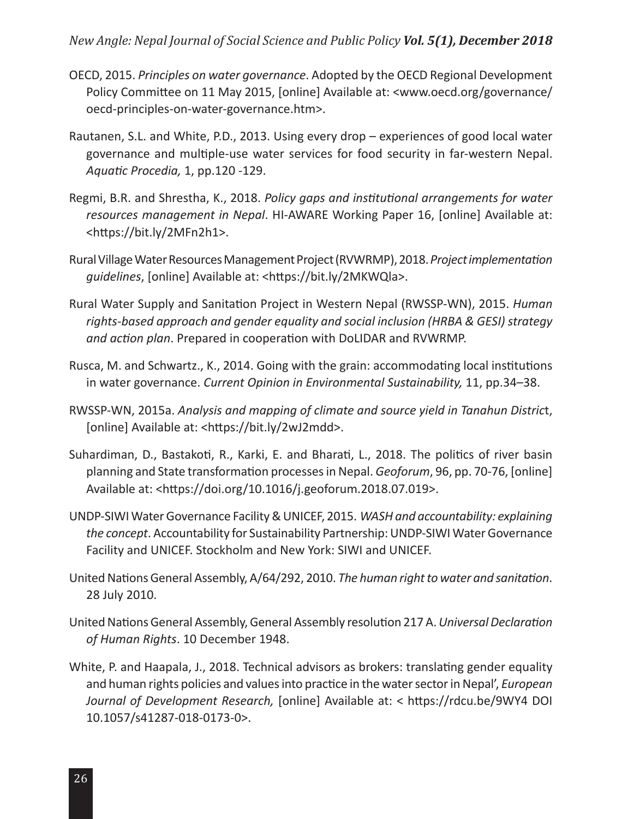#### *New Angle: Nepal Journal of Social Science and Public Policy Vol. 5(1), December 2018*

- OECD, 2015. *Principles on water governance*. Adopted by the OECD Regional Development Policy Committee on 11 May 2015, [online] Available at: <www.oecd.org/governance/ oecd-principles-on-water-governance.htm>.
- Rautanen, S.L. and White, P.D., 2013. Using every drop experiences of good local water governance and multiple-use water services for food security in far-western Nepal. *Aquatic Procedia,* 1, pp.120 -129.
- Regmi, B.R. and Shrestha, K., 2018. *Policy gaps and institutional arrangements for water resources management in Nepal*. HI-AWARE Working Paper 16, [online] Available at: <https://bit.ly/2MFn2h1>.
- Rural Village Water Resources Management Project (RVWRMP), 2018. *Project implementation guidelines*, [online] Available at: <https://bit.ly/2MKWQla>.
- Rural Water Supply and Sanitation Project in Western Nepal (RWSSP-WN), 2015. *Human rights-based approach and gender equality and social inclusion (HRBA & GESI) strategy and action plan*. Prepared in cooperation with DoLIDAR and RVWRMP.
- Rusca, M. and Schwartz., K., 2014. Going with the grain: accommodating local institutions in water governance. *Current Opinion in Environmental Sustainability,* 11, pp.34–38.
- RWSSP-WN, 2015a. *Analysis and mapping of climate and source yield in Tanahun Distric*t, [online] Available at: <https://bit.ly/2wJ2mdd>.
- Suhardiman, D., Bastakoti, R., Karki, E. and Bharati, L., 2018. The politics of river basin planning and State transformation processes in Nepal. *Geoforum*, 96, pp. 70-76, [online] Available at: <https://doi.org/10.1016/j.geoforum.2018.07.019>.
- UNDP-SIWI Water Governance Facility & UNICEF, 2015. *WASH and accountability: explaining the concept*. Accountability for Sustainability Partnership: UNDP-SIWI Water Governance Facility and UNICEF. Stockholm and New York: SIWI and UNICEF.
- United Nations General Assembly, A/64/292, 2010. *The human right to water and sanitation*. 28 July 2010.
- United Nations General Assembly, General Assembly resolution 217 A. *Universal Declaration of Human Rights*. 10 December 1948.
- White, P. and Haapala, J., 2018. Technical advisors as brokers: translating gender equality and human rights policies and values into practice in the water sector in Nepal', *European Journal of Development Research,* [online] Available at: < https://rdcu.be/9WY4 DOI 10.1057/s41287-018-0173-0>.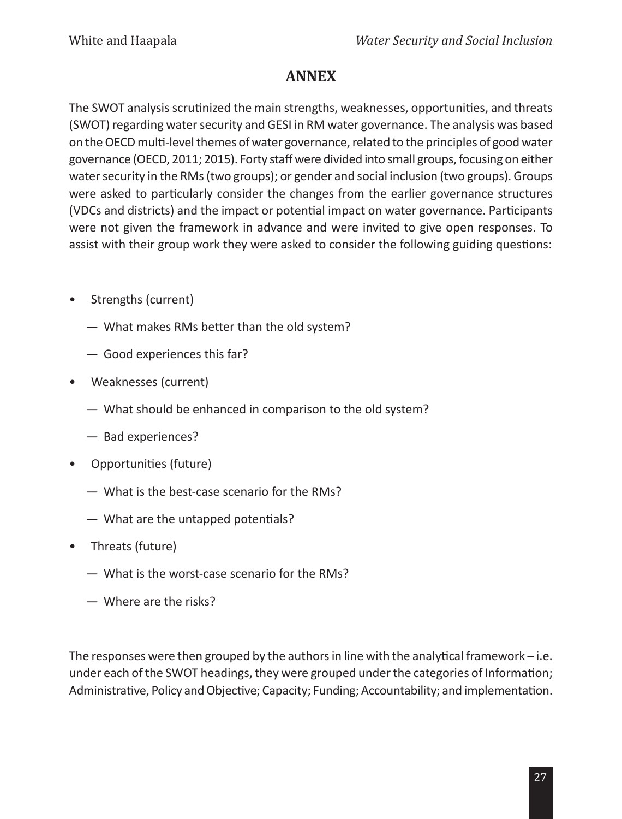# **ANNEX**

The SWOT analysis scrutinized the main strengths, weaknesses, opportunities, and threats (SWOT) regarding water security and GESI in RM water governance. The analysis was based on the OECD multi-level themes of water governance, related to the principles of good water governance (OECD, 2011; 2015). Forty staff were divided into small groups, focusing on either water security in the RMs (two groups); or gender and social inclusion (two groups). Groups were asked to particularly consider the changes from the earlier governance structures (VDCs and districts) and the impact or potential impact on water governance. Participants were not given the framework in advance and were invited to give open responses. To assist with their group work they were asked to consider the following guiding questions:

- Strengths (current)
	- What makes RMs better than the old system?
	- Good experiences this far?
- Weaknesses (current)
	- What should be enhanced in comparison to the old system?
	- Bad experiences?
- Opportunities (future)
	- What is the best-case scenario for the RMs?
	- What are the untapped potentials?
- Threats (future)
	- What is the worst-case scenario for the RMs?
	- Where are the risks?

The responses were then grouped by the authors in line with the analytical framework – i.e. under each of the SWOT headings, they were grouped under the categories of Information; Administrative, Policy and Objective; Capacity; Funding; Accountability; and implementation.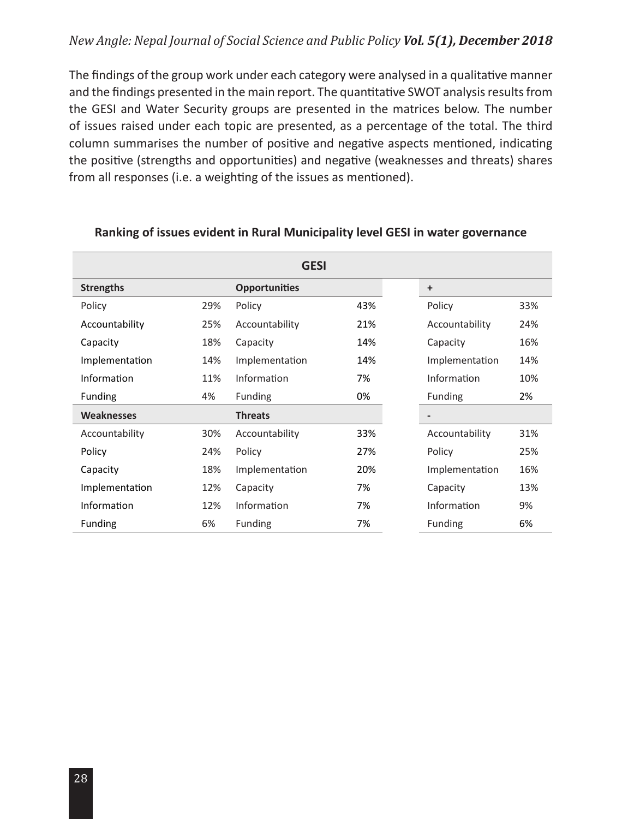#### *New Angle: Nepal Journal of Social Science and Public Policy Vol. 5(1), December 2018*

The findings of the group work under each category were analysed in a qualitative manner and the findings presented in the main report. The quantitative SWOT analysis results from the GESI and Water Security groups are presented in the matrices below. The number of issues raised under each topic are presented, as a percentage of the total. The third column summarises the number of positive and negative aspects mentioned, indicating the positive (strengths and opportunities) and negative (weaknesses and threats) shares from all responses (i.e. a weighting of the issues as mentioned).

|                   |     | <b>GESI</b>          |     |                |     |
|-------------------|-----|----------------------|-----|----------------|-----|
| <b>Strengths</b>  |     | <b>Opportunities</b> |     | $\ddot{}$      |     |
| Policy            | 29% | Policy               | 43% | Policy         | 33% |
| Accountability    | 25% | Accountability       | 21% | Accountability | 24% |
| Capacity          | 18% | Capacity             | 14% | Capacity       | 16% |
| Implementation    | 14% | Implementation       | 14% | Implementation | 14% |
| Information       | 11% | Information          | 7%  | Information    | 10% |
| <b>Funding</b>    | 4%  | <b>Funding</b>       | 0%  | Funding        | 2%  |
| <b>Weaknesses</b> |     | <b>Threats</b>       |     |                |     |
| Accountability    | 30% | Accountability       | 33% | Accountability | 31% |
| Policy            | 24% | Policy               | 27% | Policy         | 25% |
| Capacity          | 18% | Implementation       | 20% | Implementation | 16% |
| Implementation    | 12% | Capacity             | 7%  | Capacity       | 13% |
| Information       | 12% | Information          | 7%  | Information    | 9%  |
| <b>Funding</b>    | 6%  | Funding              | 7%  | Funding        | 6%  |

#### **Ranking of issues evident in Rural Municipality level GESI in water governance**